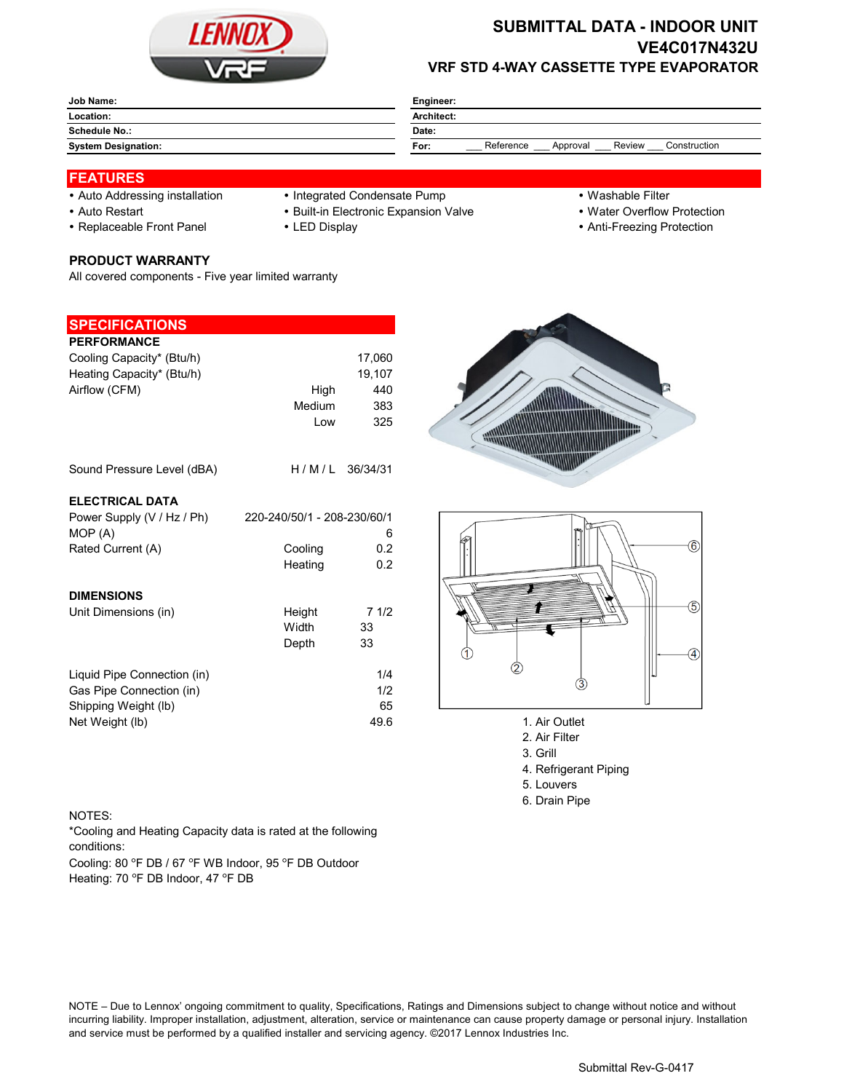

## **SUBMITTAL DATA - INDOOR UNIT VE4C017N432U VRF STD 4-WAY CASSETTE TYPE EVAPORATOR**

| Job Name:                  | Engineer:                                               |  |  |  |
|----------------------------|---------------------------------------------------------|--|--|--|
| Location:                  | Architect:                                              |  |  |  |
| <b>Schedule No.:</b>       | Date:                                                   |  |  |  |
| <b>System Designation:</b> | Reference<br>Construction<br>Review<br>Approval<br>For: |  |  |  |

### **FEATURES**

- 
- 
- 

# **PRODUCT WARRANTY**

All covered components - Five year limited warranty

#### **SPECIFICATIONS**

| <b>PERFORMANCE</b><br>Cooling Capacity* (Btu/h)<br>Heating Capacity* (Btu/h)<br>Airflow (CFM) | High<br>Medium              | 17,060<br>19,107<br>440<br>383 |               |
|-----------------------------------------------------------------------------------------------|-----------------------------|--------------------------------|---------------|
| Sound Pressure Level (dBA)                                                                    | Low<br>H/M/L                | 325<br>36/34/31                |               |
| <b>ELECTRICAL DATA</b>                                                                        |                             |                                |               |
| Power Supply (V / Hz / Ph)<br>MOP (A)                                                         | 220-240/50/1 - 208-230/60/1 | 6                              |               |
| Rated Current (A)                                                                             | Cooling<br>Heating          | 0.2<br>0.2                     |               |
| <b>DIMENSIONS</b>                                                                             |                             |                                |               |
| Unit Dimensions (in)                                                                          | Height<br>Width<br>Depth    | 71/2<br>33<br>33               |               |
| Liquid Pipe Connection (in)<br>Gas Pipe Connection (in)                                       |                             | 1/4<br>1/2                     | 3             |
| Shipping Weight (lb)                                                                          |                             | 65                             |               |
| Net Weight (lb)                                                                               |                             | 49.6                           | 1. Air Outlet |

- Auto Addressing installation Integrated Condensate Pump Washable Filter
- Auto Restart **Built-in Electronic Expansion Valve Water Overflow Protection** 
	-
- 
- 
- Replaceable Front Panel LED Display Anti-Freezing Protection





- 
- 2. Air Filter 3. Grill
- 4. Refrigerant Piping
- 5. Louvers
- 6. Drain Pipe

#### NOTES:

\*Cooling and Heating Capacity data is rated at the following conditions:

Cooling: 80 °F DB / 67 °F WB Indoor, 95 °F DB Outdoor Heating: 70 °F DB Indoor, 47 °F DB

NOTE – Due to Lennox' ongoing commitment to quality, Specifications, Ratings and Dimensions subject to change without notice and without incurring liability. Improper installation, adjustment, alteration, service or maintenance can cause property damage or personal injury. Installation and service must be performed by a qualified installer and servicing agency. ©2017 Lennox Industries Inc.